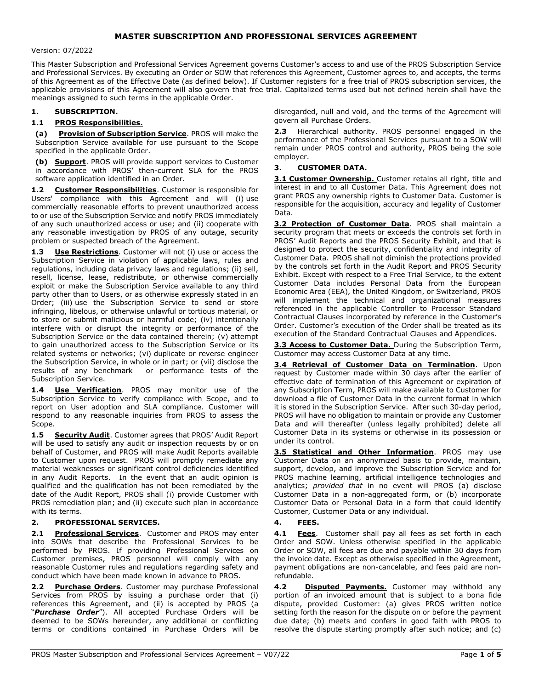# MASTER SUBSCRIPTION AND PROFESSIONAL SERVICES AGREEMENT

#### Version: 07/2022

This Master Subscription and Professional Services Agreement governs Customer's access to and use of the PROS Subscription Service and Professional Services. By executing an Order or SOW that references this Agreement, Customer agrees to, and accepts, the terms of this Agreement as of the Effective Date (as defined below). If Customer registers for a free trial of PROS subscription services, the applicable provisions of this Agreement will also govern that free trial. Capitalized terms used but not defined herein shall have the meanings assigned to such terms in the applicable Order.

### 1. SUBSCRIPTION.

### 1.1 PROS Responsibilities.

(a) Provision of Subscription Service. PROS will make the Subscription Service available for use pursuant to the Scope specified in the applicable Order.

(b) **Support**. PROS will provide support services to Customer in accordance with PROS' then-current SLA for the PROS software application identified in an Order.

1.2 Customer Responsibilities. Customer is responsible for Users' compliance with this Agreement and will (i) use commercially reasonable efforts to prevent unauthorized access to or use of the Subscription Service and notify PROS immediately of any such unauthorized access or use; and (ii) cooperate with any reasonable investigation by PROS of any outage, security problem or suspected breach of the Agreement.

1.3 Use Restrictions. Customer will not (i) use or access the Subscription Service in violation of applicable laws, rules and regulations, including data privacy laws and regulations; (ii) sell, resell, license, lease, redistribute, or otherwise commercially exploit or make the Subscription Service available to any third party other than to Users, or as otherwise expressly stated in an Order; (iii) use the Subscription Service to send or store infringing, libelous, or otherwise unlawful or tortious material, or to store or submit malicious or harmful code; (iv) intentionally interfere with or disrupt the integrity or performance of the Subscription Service or the data contained therein; (v) attempt to gain unauthorized access to the Subscription Service or its related systems or networks; (vi) duplicate or reverse engineer the Subscription Service, in whole or in part; or (vii) disclose the results of any benchmark or performance tests of the Subscription Service.

1.4 **Use Verification**. PROS may monitor use of the Subscription Service to verify compliance with Scope, and to report on User adoption and SLA compliance. Customer will respond to any reasonable inquiries from PROS to assess the Scope.

1.5 Security Audit. Customer agrees that PROS' Audit Report will be used to satisfy any audit or inspection requests by or on behalf of Customer, and PROS will make Audit Reports available to Customer upon request. PROS will promptly remediate any material weaknesses or significant control deficiencies identified in any Audit Reports. In the event that an audit opinion is qualified and the qualification has not been remediated by the date of the Audit Report, PROS shall (i) provide Customer with PROS remediation plan; and (ii) execute such plan in accordance with its terms.

### 2. PROFESSIONAL SERVICES.

2.1 Professional Services. Customer and PROS may enter into SOWs that describe the Professional Services to be performed by PROS. If providing Professional Services on Customer premises, PROS personnel will comply with any reasonable Customer rules and regulations regarding safety and conduct which have been made known in advance to PROS.

Purchase Orders. Customer may purchase Professional Services from PROS by issuing a purchase order that (i) references this Agreement, and (ii) is accepted by PROS (a "Purchase Order"). All accepted Purchase Orders will be deemed to be SOWs hereunder, any additional or conflicting terms or conditions contained in Purchase Orders will be disregarded, null and void, and the terms of the Agreement will govern all Purchase Orders.

2.3 Hierarchical authority. PROS personnel engaged in the performance of the Professional Services pursuant to a SOW will remain under PROS control and authority, PROS being the sole employer.

### 3. CUSTOMER DATA.

3.1 Customer Ownership. Customer retains all right, title and interest in and to all Customer Data. This Agreement does not grant PROS any ownership rights to Customer Data. Customer is responsible for the acquisition, accuracy and legality of Customer Data.

3.2 Protection of Customer Data. PROS shall maintain a security program that meets or exceeds the controls set forth in PROS' Audit Reports and the PROS Security Exhibit, and that is designed to protect the security, confidentiality and integrity of Customer Data. PROS shall not diminish the protections provided by the controls set forth in the Audit Report and PROS Security Exhibit. Except with respect to a Free Trial Service, to the extent Customer Data includes Personal Data from the European Economic Area (EEA), the United Kingdom, or Switzerland, PROS will implement the technical and organizational measures referenced in the applicable Controller to Processor Standard Contractual Clauses incorporated by reference in the Customer's Order. Customer's execution of the Order shall be treated as its execution of the Standard Contractual Clauses and Appendices.

3.3 Access to Customer Data. During the Subscription Term, Customer may access Customer Data at any time.

3.4 Retrieval of Customer Data on Termination. Upon request by Customer made within 30 days after the earlier of effective date of termination of this Agreement or expiration of any Subscription Term, PROS will make available to Customer for download a file of Customer Data in the current format in which it is stored in the Subscription Service. After such 30-day period, PROS will have no obligation to maintain or provide any Customer Data and will thereafter (unless legally prohibited) delete all Customer Data in its systems or otherwise in its possession or under its control.

3.5 Statistical and Other Information. PROS may use Customer Data on an anonymized basis to provide, maintain, support, develop, and improve the Subscription Service and for PROS machine learning, artificial intelligence technologies and analytics; provided that in no event will PROS (a) disclose Customer Data in a non-aggregated form, or (b) incorporate Customer Data or Personal Data in a form that could identify Customer, Customer Data or any individual.

### 4. FEES.

4.1 Fees. Customer shall pay all fees as set forth in each Order and SOW. Unless otherwise specified in the applicable Order or SOW, all fees are due and payable within 30 days from the invoice date. Except as otherwise specified in the Agreement, payment obligations are non-cancelable, and fees paid are nonrefundable.

4.2 **Disputed Payments.** Customer may withhold any portion of an invoiced amount that is subject to a bona fide dispute, provided Customer: (a) gives PROS written notice setting forth the reason for the dispute on or before the payment due date; (b) meets and confers in good faith with PROS to resolve the dispute starting promptly after such notice; and (c)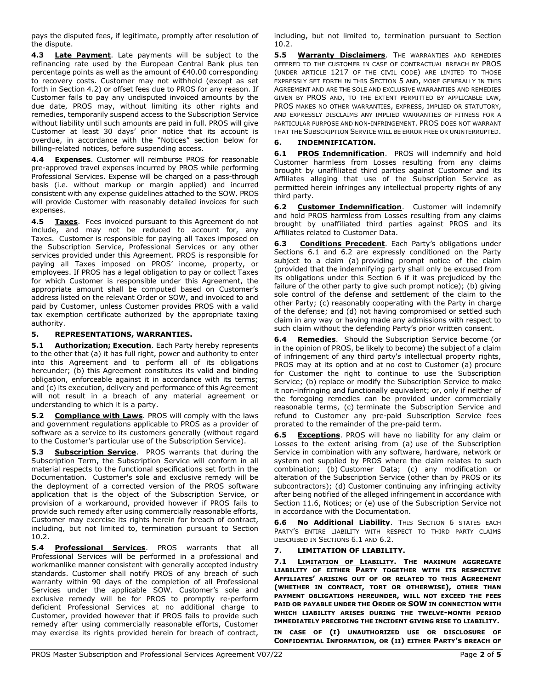pays the disputed fees, if legitimate, promptly after resolution of the dispute.

4.3 Late Payment. Late payments will be subject to the refinancing rate used by the European Central Bank plus ten percentage points as well as the amount of €40.00 corresponding to recovery costs. Customer may not withhold (except as set forth in Section 4.2) or offset fees due to PROS for any reason. If Customer fails to pay any undisputed invoiced amounts by the due date, PROS may, without limiting its other rights and remedies, temporarily suspend access to the Subscription Service without liability until such amounts are paid in full. PROS will give Customer at least 30 days' prior notice that its account is overdue, in accordance with the "Notices" section below for billing-related notices, before suspending access.

4.4 Expenses. Customer will reimburse PROS for reasonable pre-approved travel expenses incurred by PROS while performing Professional Services. Expense will be charged on a pass-through basis (i.e. without markup or margin applied) and incurred consistent with any expense guidelines attached to the SOW. PROS will provide Customer with reasonably detailed invoices for such expenses.

4.5 Taxes. Fees invoiced pursuant to this Agreement do not include, and may not be reduced to account for, any Taxes. Customer is responsible for paying all Taxes imposed on the Subscription Service, Professional Services or any other services provided under this Agreement. PROS is responsible for paying all Taxes imposed on PROS' income, property, or employees. If PROS has a legal obligation to pay or collect Taxes for which Customer is responsible under this Agreement, the appropriate amount shall be computed based on Customer's address listed on the relevant Order or SOW, and invoiced to and paid by Customer, unless Customer provides PROS with a valid tax exemption certificate authorized by the appropriate taxing authority.

# 5. REPRESENTATIONS, WARRANTIES.

5.1 Authorization; Execution. Each Party hereby represents to the other that (a) it has full right, power and authority to enter into this Agreement and to perform all of its obligations hereunder; (b) this Agreement constitutes its valid and binding obligation, enforceable against it in accordance with its terms; and (c) its execution, delivery and performance of this Agreement will not result in a breach of any material agreement or understanding to which it is a party.

5.2 Compliance with Laws. PROS will comply with the laws and government regulations applicable to PROS as a provider of software as a service to its customers generally (without regard to the Customer's particular use of the Subscription Service).

5.3 Subscription Service. PROS warrants that during the Subscription Term, the Subscription Service will conform in all material respects to the functional specifications set forth in the Documentation. Customer's sole and exclusive remedy will be the deployment of a corrected version of the PROS software application that is the object of the Subscription Service, or provision of a workaround, provided however if PROS fails to provide such remedy after using commercially reasonable efforts, Customer may exercise its rights herein for breach of contract, including, but not limited to, termination pursuant to Section 10.2.

5.4 **Professional Services**. PROS warrants that all Professional Services will be performed in a professional and workmanlike manner consistent with generally accepted industry standards. Customer shall notify PROS of any breach of such warranty within 90 days of the completion of all Professional Services under the applicable SOW. Customer's sole and exclusive remedy will be for PROS to promptly re-perform deficient Professional Services at no additional charge to Customer, provided however that if PROS fails to provide such remedy after using commercially reasonable efforts, Customer may exercise its rights provided herein for breach of contract,

including, but not limited to, termination pursuant to Section 10.2.

5.5 **Warranty Disclaimers**. The WARRANTIES AND REMEDIES OFFERED TO THE CUSTOMER IN CASE OF CONTRACTUAL BREACH BY PROS (UNDER ARTICLE 1217 OF THE CIVIL CODE) ARE LIMITED TO THOSE EXPRESSLY SET FORTH IN THIS SECTION 5 AND, MORE GENERALLY IN THIS AGREEMENT AND ARE THE SOLE AND EXCLUSIVE WARRANTIES AND REMEDIES GIVEN BY PROS AND, TO THE EXTENT PERMITTED BY APPLICABLE LAW, PROS MAKES NO OTHER WARRANTIES, EXPRESS, IMPLIED OR STATUTORY, AND EXPRESSLY DISCLAIMS ANY IMPLIED WARRANTIES OF FITNESS FOR A PARTICULAR PURPOSE AND NON-INFRINGEMENT. PROS DOES NOT WARRANT THAT THE SUBSCRIPTION SERVICE WILL BE ERROR FREE OR UNINTERRUPTED.

# 6. INDEMNIFICATION.

6.1 PROS Indemnification. PROS will indemnify and hold Customer harmless from Losses resulting from any claims brought by unaffiliated third parties against Customer and its Affiliates alleging that use of the Subscription Service as permitted herein infringes any intellectual property rights of any third party.

6.2 Customer Indemnification. Customer will indemnify and hold PROS harmless from Losses resulting from any claims brought by unaffiliated third parties against PROS and its Affiliates related to Customer Data.

6.3 Conditions Precedent. Each Party's obligations under Sections 6.1 and 6.2 are expressly conditioned on the Party subject to a claim (a) providing prompt notice of the claim (provided that the indemnifying party shall only be excused from its obligations under this Section 6 if it was prejudiced by the failure of the other party to give such prompt notice); (b) giving sole control of the defense and settlement of the claim to the other Party; (c) reasonably cooperating with the Party in charge of the defense; and (d) not having compromised or settled such claim in any way or having made any admissions with respect to such claim without the defending Party's prior written consent.

6.4 Remedies. Should the Subscription Service become (or in the opinion of PROS, be likely to become) the subject of a claim of infringement of any third party's intellectual property rights, PROS may at its option and at no cost to Customer (a) procure for Customer the right to continue to use the Subscription Service; (b) replace or modify the Subscription Service to make it non-infringing and functionally equivalent; or, only if neither of the foregoing remedies can be provided under commercially reasonable terms, (c) terminate the Subscription Service and refund to Customer any pre-paid Subscription Service fees prorated to the remainder of the pre-paid term.

6.5 Exceptions. PROS will have no liability for any claim or Losses to the extent arising from (a) use of the Subscription Service in combination with any software, hardware, network or system not supplied by PROS where the claim relates to such combination; (b) Customer Data; (c) any modification or alteration of the Subscription Service (other than by PROS or its subcontractors); (d) Customer continuing any infringing activity after being notified of the alleged infringement in accordance with Section 11.6, Notices; or (e) use of the Subscription Service not in accordance with the Documentation.

6.6 No Additional Liability. This SECTION 6 STATES EACH PARTY'S ENTIRE LIABILITY WITH RESPECT TO THIRD PARTY CLAIMS DESCRIBED IN SECTIONS 6.1 AND 6.2.

# 7. LIMITATION OF LIABILITY.

7.1 **LIMITATION OF LIABILITY. THE MAXIMUM AGGREGATE** LIABILITY OF EITHER PARTY TOGETHER WITH ITS RESPECTIVE AFFILIATES' ARISING OUT OF OR RELATED TO THIS AGREEMENT (WHETHER IN CONTRACT, TORT OR OTHERWISE), OTHER THAN PAYMENT OBLIGATIONS HEREUNDER, WILL NOT EXCEED THE FEES PAID OR PAYABLE UNDER THE ORDER OR SOW IN CONNECTION WITH WHICH LIABILITY ARISES DURING THE TWELVE-MONTH PERIOD IMMEDIATELY PRECEDING THE INCIDENT GIVING RISE TO LIABILITY.

IN CASE OF (I) UNAUTHORIZED USE OR DISCLOSURE OF CONFIDENTIAL INFORMATION, OR (II) EITHER PARTY'S BREACH OF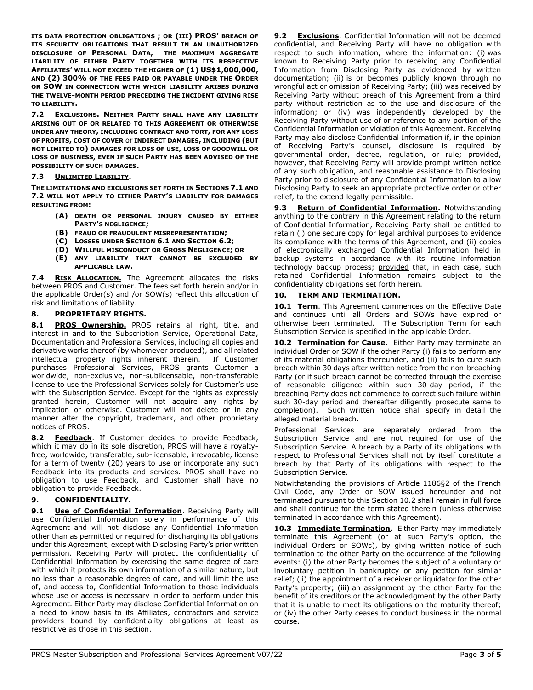ITS DATA PROTECTION OBLIGATIONS ; OR (III) PROS' BREACH OF ITS SECURITY OBLIGATIONS THAT RESULT IN AN UNAUTHORIZED DISCLOSURE OF PERSONAL DATA, THE MAXIMUM AGGREGATE LIABILITY OF EITHER PARTY TOGETHER WITH ITS RESPECTIVE AFFILIATES' WILL NOT EXCEED THE HIGHER OF (1) US\$1,000,000, AND (2) 300% OF THE FEES PAID OR PAYABLE UNDER THE ORDER OR SOW IN CONNECTION WITH WHICH LIABILITY ARISES DURING THE TWELVE-MONTH PERIOD PRECEDING THE INCIDENT GIVING RISE TO LIABILITY.

7.2 EXCLUSIONS. NEITHER PARTY SHALL HAVE ANY LIABILITY ARISING OUT OF OR RELATED TO THIS AGREEMENT OR OTHERWISE UNDER ANY THEORY, INCLUDING CONTRACT AND TORT, FOR ANY LOSS OF PROFITS, COST OF COVER or INDIRECT DAMAGES, INCLUDING (BUT NOT LIMITED TO) DAMAGES FOR LOSS OF USE, LOSS OF GOODWILL OR LOSS OF BUSINESS, EVEN IF SUCH PARTY HAS BEEN ADVISED OF THE POSSIBILITY OF SUCH DAMAGES.

### 7.3 UNLIMITED LIABILITY.

THE LIMITATIONS AND EXCLUSIONS SET FORTH IN SECTIONS 7.1 AND 7.2 WILL NOT APPLY TO EITHER PARTY'S LIABILITY FOR DAMAGES RESULTING FROM:

- (A) DEATH OR PERSONAL INJURY CAUSED BY EITHER PARTY'S NEGLIGENCE;
- (B) FRAUD OR FRAUDULENT MISREPRESENTATION;
- (C) LOSSES UNDER SECTION 6.1 AND SECTION 6.2;
- (D) WILLFUL MISCONDUCT OR GROSS NEGLIGENCE; OR
- (E) ANY LIABILITY THAT CANNOT BE EXCLUDED BY APPLICABLE LAW.

7.4 RISK ALLOCATION. The Agreement allocates the risks between PROS and Customer. The fees set forth herein and/or in the applicable Order(s) and /or SOW(s) reflect this allocation of risk and limitations of liability.

### 8. PROPRIETARY RIGHTS.

8.1 PROS Ownership. PROS retains all right, title, and interest in and to the Subscription Service, Operational Data, Documentation and Professional Services, including all copies and derivative works thereof (by whomever produced), and all related intellectual property rights inherent therein. If Customer purchases Professional Services, PROS grants Customer a worldwide, non-exclusive, non-sublicensable, non-transferable license to use the Professional Services solely for Customer's use with the Subscription Service. Except for the rights as expressly granted herein, Customer will not acquire any rights by implication or otherwise. Customer will not delete or in any manner alter the copyright, trademark, and other proprietary notices of PROS.

8.2 Feedback. If Customer decides to provide Feedback, which it may do in its sole discretion, PROS will have a royaltyfree, worldwide, transferable, sub-licensable, irrevocable, license for a term of twenty (20) years to use or incorporate any such Feedback into its products and services. PROS shall have no obligation to use Feedback, and Customer shall have no obligation to provide Feedback.

### 9. CONFIDENTIALITY.

9.1 Use of Confidential Information. Receiving Party will use Confidential Information solely in performance of this Agreement and will not disclose any Confidential Information other than as permitted or required for discharging its obligations under this Agreement, except with Disclosing Party's prior written permission. Receiving Party will protect the confidentiality of Confidential Information by exercising the same degree of care with which it protects its own information of a similar nature, but no less than a reasonable degree of care, and will limit the use of, and access to, Confidential Information to those individuals whose use or access is necessary in order to perform under this Agreement. Either Party may disclose Confidential Information on a need to know basis to its Affiliates, contractors and service providers bound by confidentiality obligations at least as restrictive as those in this section.

**9.2** Exclusions. Confidential Information will not be deemed confidential, and Receiving Party will have no obligation with respect to such information, where the information: (i) was known to Receiving Party prior to receiving any Confidential Information from Disclosing Party as evidenced by written documentation; (ii) is or becomes publicly known through no wrongful act or omission of Receiving Party; (iii) was received by Receiving Party without breach of this Agreement from a third party without restriction as to the use and disclosure of the information; or (iv) was independently developed by the Receiving Party without use of or reference to any portion of the Confidential Information or violation of this Agreement. Receiving Party may also disclose Confidential Information if, in the opinion of Receiving Party's counsel, disclosure is required by governmental order, decree, regulation, or rule; provided, however, that Receiving Party will provide prompt written notice of any such obligation, and reasonable assistance to Disclosing Party prior to disclosure of any Confidential Information to allow Disclosing Party to seek an appropriate protective order or other relief, to the extend legally permissible.

9.3 Return of Confidential Information. Notwithstanding anything to the contrary in this Agreement relating to the return of Confidential Information, Receiving Party shall be entitled to retain (i) one secure copy for legal archival purposes to evidence its compliance with the terms of this Agreement, and (ii) copies of electronically exchanged Confidential Information held in backup systems in accordance with its routine information technology backup process; provided that, in each case, such retained Confidential Information remains subject to the confidentiality obligations set forth herein.

### 10. TERM AND TERMINATION.

10.1 Term. This Agreement commences on the Effective Date and continues until all Orders and SOWs have expired or otherwise been terminated. The Subscription Term for each Subscription Service is specified in the applicable Order.

10.2 Termination for Cause. Either Party may terminate an individual Order or SOW if the other Party (i) fails to perform any of its material obligations thereunder, and (ii) fails to cure such breach within 30 days after written notice from the non-breaching Party (or if such breach cannot be corrected through the exercise of reasonable diligence within such 30-day period, if the breaching Party does not commence to correct such failure within such 30-day period and thereafter diligently prosecute same to completion). Such written notice shall specify in detail the alleged material breach.

Professional Services are separately ordered from the Subscription Service and are not required for use of the Subscription Service. A breach by a Party of its obligations with respect to Professional Services shall not by itself constitute a breach by that Party of its obligations with respect to the Subscription Service.

Notwithstanding the provisions of Article 1186§2 of the French Civil Code, any Order or SOW issued hereunder and not terminated pursuant to this Section 10.2 shall remain in full force and shall continue for the term stated therein (unless otherwise terminated in accordance with this Agreement).

10.3 Immediate Termination. Either Party may immediately terminate this Agreement (or at such Party's option, the individual Orders or SOWs), by giving written notice of such termination to the other Party on the occurrence of the following events: (i) the other Party becomes the subject of a voluntary or involuntary petition in bankruptcy or any petition for similar relief; (ii) the appointment of a receiver or liquidator for the other Party's property; (iii) an assignment by the other Party for the benefit of its creditors or the acknowledgment by the other Party that it is unable to meet its obligations on the maturity thereof; or (iv) the other Party ceases to conduct business in the normal course.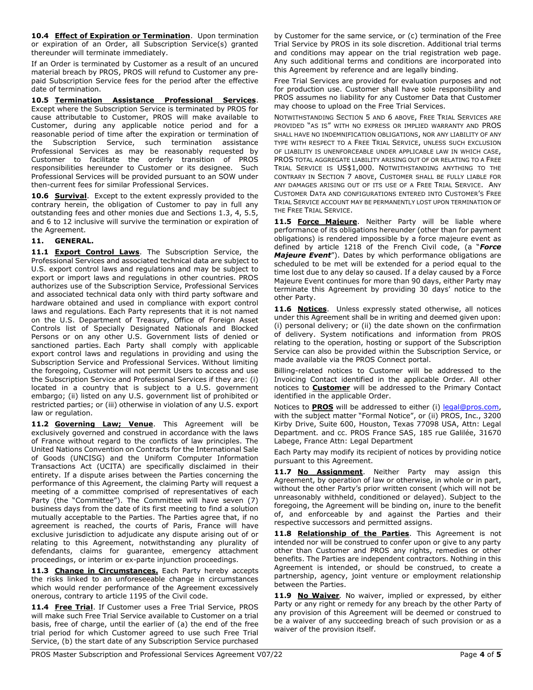10.4 **Effect of Expiration or Termination**. Upon termination or expiration of an Order, all Subscription Service(s) granted thereunder will terminate immediately.

If an Order is terminated by Customer as a result of an uncured material breach by PROS, PROS will refund to Customer any prepaid Subscription Service fees for the period after the effective date of termination.

10.5 Termination Assistance Professional Services. Except where the Subscription Service is terminated by PROS for cause attributable to Customer, PROS will make available to Customer, during any applicable notice period and for a reasonable period of time after the expiration or termination of the Subscription Service, such termination assistance Professional Services as may be reasonably requested by Customer to facilitate the orderly transition of PROS responsibilities hereunder to Customer or its designee. Such Professional Services will be provided pursuant to an SOW under then-current fees for similar Professional Services.

10.6 Survival. Except to the extent expressly provided to the contrary herein, the obligation of Customer to pay in full any outstanding fees and other monies due and Sections 1.3, 4, 5.5, and 6 to 12 inclusive will survive the termination or expiration of the Agreement.

# 11. GENERAL.

11.1 **Export Control Laws**. The Subscription Service, the Professional Services and associated technical data are subject to U.S. export control laws and regulations and may be subject to export or import laws and regulations in other countries. PROS authorizes use of the Subscription Service, Professional Services and associated technical data only with third party software and hardware obtained and used in compliance with export control laws and regulations. Each Party represents that it is not named on the U.S. Department of Treasury, Office of Foreign Asset Controls list of Specially Designated Nationals and Blocked Persons or on any other U.S. Government lists of denied or sanctioned parties. Each Party shall comply with applicable export control laws and regulations in providing and using the Subscription Service and Professional Services. Without limiting the foregoing, Customer will not permit Users to access and use the Subscription Service and Professional Services if they are: (i) located in a country that is subject to a U.S. government embargo; (ii) listed on any U.S. government list of prohibited or restricted parties; or (iii) otherwise in violation of any U.S. export law or regulation.

11.2 Governing Law; Venue. This Agreement will be exclusively governed and construed in accordance with the laws of France without regard to the conflicts of law principles. The United Nations Convention on Contracts for the International Sale of Goods (UNCISG) and the Uniform Computer Information Transactions Act (UCITA) are specifically disclaimed in their entirety. If a dispute arises between the Parties concerning the performance of this Agreement, the claiming Party will request a meeting of a committee comprised of representatives of each Party (the "Committee"). The Committee will have seven (7) business days from the date of its first meeting to find a solution mutually acceptable to the Parties. The Parties agree that, if no agreement is reached, the courts of Paris, France will have exclusive jurisdiction to adjudicate any dispute arising out of or relating to this Agreement, notwithstanding any plurality of defendants, claims for guarantee, emergency attachment proceedings, or interim or ex-parte injunction proceedings.

11.3 Change in Circumstances. Each Party hereby accepts the risks linked to an unforeseeable change in circumstances which would render performance of the Agreement excessively onerous, contrary to article 1195 of the Civil code.

11.4 Free Trial. If Customer uses a Free Trial Service, PROS will make such Free Trial Service available to Customer on a trial basis, free of charge, until the earlier of (a) the end of the free trial period for which Customer agreed to use such Free Trial Service, (b) the start date of any Subscription Service purchased

by Customer for the same service, or (c) termination of the Free Trial Service by PROS in its sole discretion. Additional trial terms and conditions may appear on the trial registration web page. Any such additional terms and conditions are incorporated into this Agreement by reference and are legally binding.

Free Trial Services are provided for evaluation purposes and not for production use. Customer shall have sole responsibility and PROS assumes no liability for any Customer Data that Customer may choose to upload on the Free Trial Services.

NOTWITHSTANDING SECTION 5 AND 6 ABOVE, FREE TRIAL SERVICES ARE PROVIDED "AS IS" WITH NO EXPRESS OR IMPLIED WARRANTY AND PROS SHALL HAVE NO INDEMNIFICATION OBLIGATIONS, NOR ANY LIABILITY OF ANY TYPE WITH RESPECT TO A FREE TRIAL SERVICE, UNLESS SUCH EXCLUSION OF LIABILITY IS UNENFORCEABLE UNDER APPLICABLE LAW IN WHICH CASE, PROS TOTAL AGGREGATE LIABILITY ARISING OUT OF OR RELATING TO A FREE TRIAL SERVICE IS US\$1,000. NOTWITHSTANDING ANYTHING TO THE CONTRARY IN SECTION 7 ABOVE, CUSTOMER SHALL BE FULLY LIABLE FOR ANY DAMAGES ARISING OUT OF ITS USE OF A FREE TRIAL SERVICE. ANY CUSTOMER DATA AND CONFIGURATIONS ENTERED INTO CUSTOMER'S FREE TRIAL SERVICE ACCOUNT MAY BE PERMANENTLY LOST UPON TERMINATION OF THE FREE TRIAL SERVICE.

11.5 Force Majeure. Neither Party will be liable where performance of its obligations hereunder (other than for payment obligations) is rendered impossible by a force majeure event as defined by article  $1218$  of the French Civil code, (a "Force Majeure Event"). Dates by which performance obligations are scheduled to be met will be extended for a period equal to the time lost due to any delay so caused. If a delay caused by a Force Majeure Event continues for more than 90 days, either Party may terminate this Agreement by providing 30 days' notice to the other Party.

11.6 **Notices**. Unless expressly stated otherwise, all notices under this Agreement shall be in writing and deemed given upon: (i) personal delivery; or (ii) the date shown on the confirmation of delivery. System notifications and information from PROS relating to the operation, hosting or support of the Subscription Service can also be provided within the Subscription Service, or made available via the PROS Connect portal.

Billing-related notices to Customer will be addressed to the Invoicing Contact identified in the applicable Order. All other notices to **Customer** will be addressed to the Primary Contact identified in the applicable Order.

Notices to PROS will be addressed to either (i) legal@pros.com, with the subject matter "Formal Notice", or (ii) PROS, Inc., 3200 Kirby Drive, Suite 600, Houston, Texas 77098 USA, Attn: Legal Department. and cc. PROS France SAS, 185 rue Galilée, 31670 Labege, France Attn: Legal Department

Each Party may modify its recipient of notices by providing notice pursuant to this Agreement.

11.7 No Assignment. Neither Party may assign this Agreement, by operation of law or otherwise, in whole or in part, without the other Party's prior written consent (which will not be unreasonably withheld, conditioned or delayed). Subject to the foregoing, the Agreement will be binding on, inure to the benefit of, and enforceable by and against the Parties and their respective successors and permitted assigns.

11.8 Relationship of the Parties. This Agreement is not intended nor will be construed to confer upon or give to any party other than Customer and PROS any rights, remedies or other benefits. The Parties are independent contractors. Nothing in this Agreement is intended, or should be construed, to create a partnership, agency, joint venture or employment relationship between the Parties.

11.9 No Waiver. No waiver, implied or expressed, by either Party or any right or remedy for any breach by the other Party of any provision of this Agreement will be deemed or construed to be a waiver of any succeeding breach of such provision or as a waiver of the provision itself.